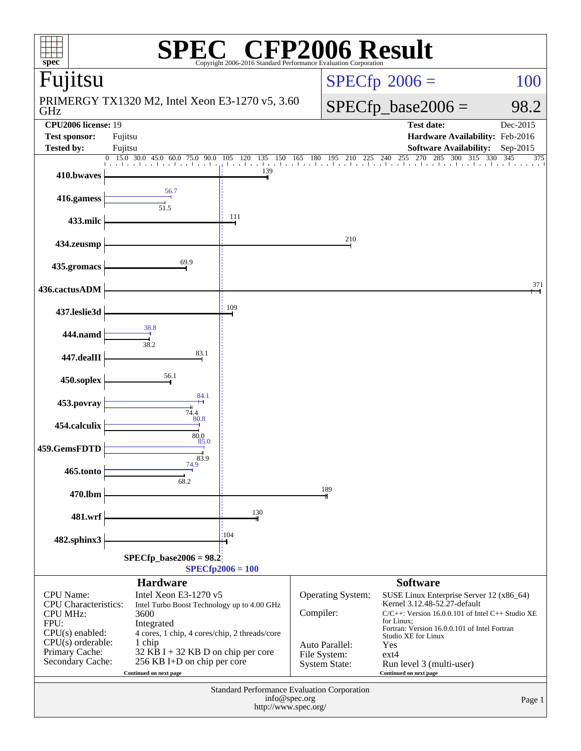| P2006 Result<br>spec <sup>®</sup><br>Copyright 2006-2016 Standard Performance Evaluation Corporation |                                                         |                           |               |                                |                                                                          |                   |  |  |  |
|------------------------------------------------------------------------------------------------------|---------------------------------------------------------|---------------------------|---------------|--------------------------------|--------------------------------------------------------------------------|-------------------|--|--|--|
| Fujitsu                                                                                              |                                                         |                           |               |                                | $SPECfp^{\circ}2006 =$                                                   | 100               |  |  |  |
| GHz                                                                                                  | PRIMERGY TX1320 M2, Intel Xeon E3-1270 v5, 3.60         |                           |               |                                | $SPECfp\_base2006 =$                                                     | 98.2              |  |  |  |
| <b>CPU2006</b> license: 19                                                                           |                                                         |                           |               |                                | <b>Test date:</b>                                                        | Dec-2015          |  |  |  |
| <b>Test sponsor:</b><br><b>Tested by:</b>                                                            | Fujitsu<br>Fujitsu                                      |                           |               |                                | Hardware Availability: Feb-2016<br><b>Software Availability:</b>         | Sep-2015          |  |  |  |
|                                                                                                      | $0$ 15.0 30.0 45.0 60.0 75.0<br>90.0                    | 105 120<br>135            |               |                                | 285<br>300<br>$\overline{3}15$<br>150 165 180 195 210 225 240 255 270 28 | 330<br>345<br>375 |  |  |  |
| 410.bwaves                                                                                           |                                                         | and the collection<br>139 |               |                                |                                                                          |                   |  |  |  |
| 416.gamess                                                                                           | 56.7<br>51.5                                            |                           |               |                                |                                                                          |                   |  |  |  |
| 433.milc                                                                                             |                                                         | 111                       |               |                                |                                                                          |                   |  |  |  |
| 434.zeusmp                                                                                           |                                                         |                           |               | 210                            |                                                                          |                   |  |  |  |
| 435.gromacs                                                                                          | 69.9                                                    |                           |               |                                |                                                                          |                   |  |  |  |
| 436.cactusADM                                                                                        |                                                         |                           |               |                                |                                                                          | 371               |  |  |  |
| 437.leslie3d                                                                                         | 38.8                                                    | 109                       |               |                                |                                                                          |                   |  |  |  |
| 444.namd                                                                                             | 38.2                                                    |                           |               |                                |                                                                          |                   |  |  |  |
| 447.dealII                                                                                           | 83.1                                                    |                           |               |                                |                                                                          |                   |  |  |  |
| 450.soplex                                                                                           | 56.1<br>84.1                                            |                           |               |                                |                                                                          |                   |  |  |  |
| 453.povray                                                                                           | 74.4<br>80.8                                            |                           |               |                                |                                                                          |                   |  |  |  |
| 454.calculix                                                                                         | 80.0                                                    |                           |               |                                |                                                                          |                   |  |  |  |
| 459.GemsFDTD                                                                                         | 85.0<br>83.9                                            |                           |               |                                |                                                                          |                   |  |  |  |
| 465.tonto                                                                                            | 74.9<br>68.2                                            |                           |               |                                |                                                                          |                   |  |  |  |
| 470.lbm                                                                                              |                                                         |                           |               | 189                            |                                                                          |                   |  |  |  |
| 481.wrf                                                                                              |                                                         | 130                       |               |                                |                                                                          |                   |  |  |  |
| 482.sphinx3                                                                                          |                                                         | 104                       |               |                                |                                                                          |                   |  |  |  |
| $SPECfp\_base2006 = 98.2$                                                                            |                                                         |                           |               |                                |                                                                          |                   |  |  |  |
|                                                                                                      |                                                         | $SPECfp2006 = 100$        |               |                                |                                                                          |                   |  |  |  |
| <b>CPU</b> Name:                                                                                     | <b>Hardware</b><br>Intel Xeon E3-1270 v5                |                           |               | Operating System:              | <b>Software</b><br>SUSE Linux Enterprise Server 12 (x86_64)              |                   |  |  |  |
| <b>CPU</b> Characteristics:                                                                          | Intel Turbo Boost Technology up to 4.00 GHz             |                           |               |                                | Kernel 3.12.48-52.27-default                                             |                   |  |  |  |
| <b>CPU MHz:</b><br>FPU:                                                                              | 3600<br>Integrated                                      | Compiler:                 |               |                                | $C/C++$ : Version 16.0.0.101 of Intel $C++$ Studio XE<br>for Linux:      |                   |  |  |  |
| $CPU(s)$ enabled:<br>$CPU(s)$ orderable:                                                             | 4 cores, 1 chip, 4 cores/chip, 2 threads/core<br>1 chip |                           |               |                                | Fortran: Version 16.0.0.101 of Intel Fortran<br>Studio XE for Linux      |                   |  |  |  |
| Primary Cache:                                                                                       | $32$ KB I + 32 KB D on chip per core                    |                           |               | Auto Parallel:<br>File System: | Yes<br>$ext{4}$                                                          |                   |  |  |  |
| Secondary Cache:                                                                                     | 256 KB I+D on chip per core<br>Continued on next page   |                           |               | System State:                  | Run level 3 (multi-user)<br>Continued on next page                       |                   |  |  |  |
| Standard Performance Evaluation Corporation                                                          |                                                         |                           |               |                                |                                                                          |                   |  |  |  |
|                                                                                                      |                                                         |                           | info@spec.org |                                |                                                                          | Page 1            |  |  |  |
| http://www.spec.org/                                                                                 |                                                         |                           |               |                                |                                                                          |                   |  |  |  |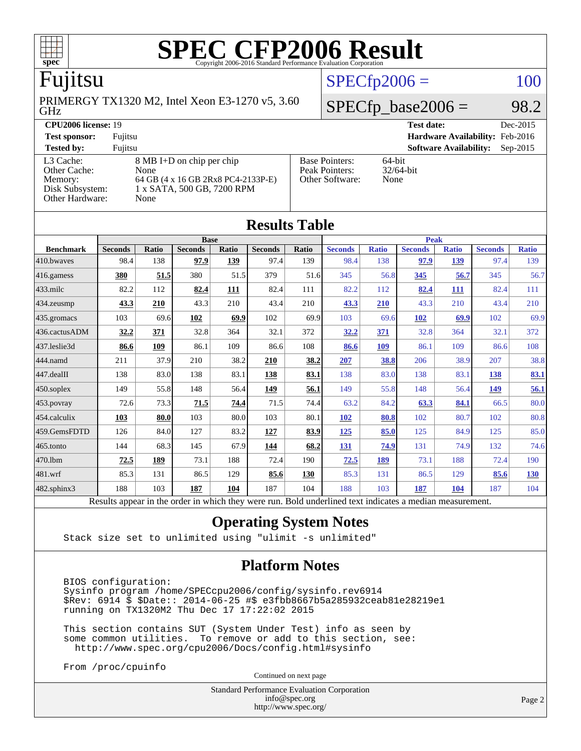

### Fujitsu

GHz PRIMERGY TX1320 M2, Intel Xeon E3-1270 v5, 3.60

### $SPECfp2006 = 100$  $SPECfp2006 = 100$  $SPECTp\_base2006 = 98.2$

**[CPU2006 license:](http://www.spec.org/auto/cpu2006/Docs/result-fields.html#CPU2006license)** 19 **[Test date:](http://www.spec.org/auto/cpu2006/Docs/result-fields.html#Testdate)** Dec-2015

**[Test sponsor:](http://www.spec.org/auto/cpu2006/Docs/result-fields.html#Testsponsor)** Fujitsu **[Hardware Availability:](http://www.spec.org/auto/cpu2006/Docs/result-fields.html#HardwareAvailability)** Feb-2016

[Other Cache:](http://www.spec.org/auto/cpu2006/Docs/result-fields.html#OtherCache) [Other Hardware:](http://www.spec.org/auto/cpu2006/Docs/result-fields.html#OtherHardware) None

[L3 Cache:](http://www.spec.org/auto/cpu2006/Docs/result-fields.html#L3Cache) 8 MB I+D on chip per chip<br>Other Cache: None [Memory:](http://www.spec.org/auto/cpu2006/Docs/result-fields.html#Memory) 64 GB (4 x 16 GB 2Rx8 PC4-2133P-E)<br>Disk Subsystem: 1 x SATA, 500 GB, 7200 RPM 1 x SATA, 500 GB, 7200 RPM

| <b>Tested by:</b>           | Fuiitsu                            |                       | <b>Software Availability:</b> | Sep-2015 |
|-----------------------------|------------------------------------|-----------------------|-------------------------------|----------|
| L3 Cache:                   | 8 MB I+D on chip per chip          | <b>Base Pointers:</b> | 64-bit                        |          |
| Other Cache:                | None                               | Peak Pointers:        | $32/64$ -bit                  |          |
| Memory:                     | 64 GB (4 x 16 GB 2Rx8 PC4-2133P-E) | Other Software:       | None                          |          |
| Disk Subsystem <sup>.</sup> | $1 \times$ SATA 500 GB 7200 RPM    |                       |                               |          |

| <b>Results Table</b>                                                                                     |                |       |                |       |                |             |                |              |                |              |                |              |
|----------------------------------------------------------------------------------------------------------|----------------|-------|----------------|-------|----------------|-------------|----------------|--------------|----------------|--------------|----------------|--------------|
|                                                                                                          | <b>Base</b>    |       |                |       |                | <b>Peak</b> |                |              |                |              |                |              |
| <b>Benchmark</b>                                                                                         | <b>Seconds</b> | Ratio | <b>Seconds</b> | Ratio | <b>Seconds</b> | Ratio       | <b>Seconds</b> | <b>Ratio</b> | <b>Seconds</b> | <b>Ratio</b> | <b>Seconds</b> | <b>Ratio</b> |
| 410.bwayes                                                                                               | 98.4           | 138   | 97.9           | 139   | 97.4           | 139         | 98.4           | 138          | 97.9           | 139          | 97.4           | 139          |
| 416.gamess                                                                                               | 380            | 51.5  | 380            | 51.5  | 379            | 51.6        | 345            | 56.8         | 345            | 56.7         | 345            | 56.7         |
| $433$ .milc                                                                                              | 82.2           | 112   | 82.4           | 111   | 82.4           | 111         | 82.2           | 112          | 82.4           | <b>111</b>   | 82.4           | 111          |
| 434.zeusmp                                                                                               | 43.3           | 210   | 43.3           | 210   | 43.4           | 210         | 43.3           | 210          | 43.3           | 210          | 43.4           | 210          |
| 435.gromacs                                                                                              | 103            | 69.6  | 102            | 69.9  | 102            | 69.9        | 103            | 69.6         | 102            | 69.9         | 102            | 69.9         |
| 436.cactusADM                                                                                            | 32.2           | 371   | 32.8           | 364   | 32.1           | 372         | 32.2           | 371          | 32.8           | 364          | 32.1           | 372          |
| 437.leslie3d                                                                                             | 86.6           | 109   | 86.1           | 109   | 86.6           | 108         | 86.6           | 109          | 86.1           | 109          | 86.6           | 108          |
| 444.namd                                                                                                 | 211            | 37.9  | 210            | 38.2  | 210            | 38.2        | 207            | 38.8         | 206            | 38.9         | 207            | 38.8         |
| 447.dealII                                                                                               | 138            | 83.0  | 138            | 83.1  | 138            | 83.1        | 138            | 83.0         | 138            | 83.1         | 138            | 83.1         |
| 450.soplex                                                                                               | 149            | 55.8  | 148            | 56.4  | 149            | 56.1        | 149            | 55.8         | 148            | 56.4         | 149            | 56.1         |
| 453.povray                                                                                               | 72.6           | 73.3  | 71.5           | 74.4  | 71.5           | 74.4        | 63.2           | 84.2         | 63.3           | 84.1         | 66.5           | 80.0         |
| 454.calculix                                                                                             | 103            | 80.0  | 103            | 80.0  | 103            | 80.1        | <b>102</b>     | 80.8         | 102            | 80.7         | 102            | 80.8         |
| 459.GemsFDTD                                                                                             | 126            | 84.0  | 127            | 83.2  | 127            | 83.9        | <u>125</u>     | 85.0         | 125            | 84.9         | 125            | 85.0         |
| 465.tonto                                                                                                | 144            | 68.3  | 145            | 67.9  | 144            | 68.2        | 131            | 74.9         | 131            | 74.9         | 132            | 74.6         |
| 470.1bm                                                                                                  | 72.5           | 189   | 73.1           | 188   | 72.4           | 190         | 72.5           | 189          | 73.1           | 188          | 72.4           | 190          |
| 481.wrf                                                                                                  | 85.3           | 131   | 86.5           | 129   | 85.6           | 130         | 85.3           | 131          | 86.5           | 129          | 85.6           | 130          |
| 482.sphinx3                                                                                              | 188            | 103   | 187            | 104   | 187            | 104         | 188            | 103          | 187            | 104          | 187            | 104          |
| Results appear in the order in which they were run. Bold underlined text indicates a median measurement. |                |       |                |       |                |             |                |              |                |              |                |              |

### **[Operating System Notes](http://www.spec.org/auto/cpu2006/Docs/result-fields.html#OperatingSystemNotes)**

Stack size set to unlimited using "ulimit -s unlimited"

### **[Platform Notes](http://www.spec.org/auto/cpu2006/Docs/result-fields.html#PlatformNotes)**

 BIOS configuration: Sysinfo program /home/SPECcpu2006/config/sysinfo.rev6914 \$Rev: 6914 \$ \$Date:: 2014-06-25 #\$ e3fbb8667b5a285932ceab81e28219e1 running on TX1320M2 Thu Dec 17 17:22:02 2015

 This section contains SUT (System Under Test) info as seen by some common utilities. To remove or add to this section, see: <http://www.spec.org/cpu2006/Docs/config.html#sysinfo>

From /proc/cpuinfo

Continued on next page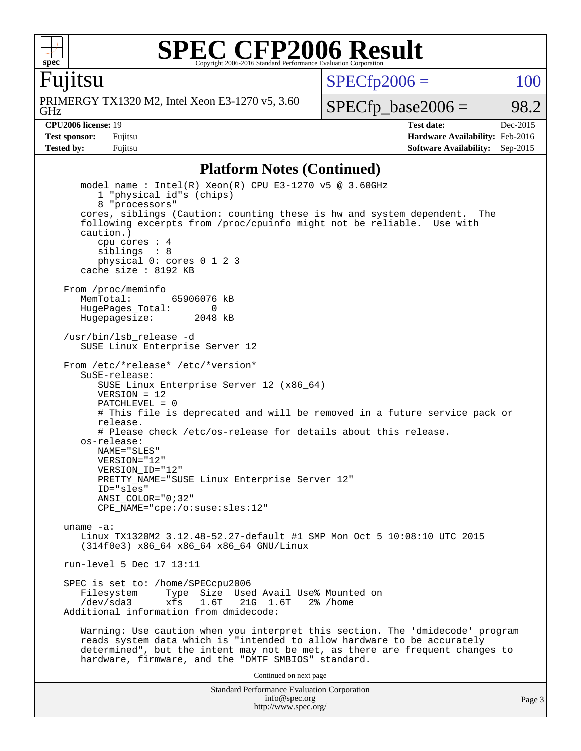

Fujitsu

GHz PRIMERGY TX1320 M2, Intel Xeon E3-1270 v5, 3.60  $SPECTp2006 = 100$ 

 $SPECTp\_base2006 = 98.2$ 

**[CPU2006 license:](http://www.spec.org/auto/cpu2006/Docs/result-fields.html#CPU2006license)** 19 **[Test date:](http://www.spec.org/auto/cpu2006/Docs/result-fields.html#Testdate)** Dec-2015 **[Test sponsor:](http://www.spec.org/auto/cpu2006/Docs/result-fields.html#Testsponsor)** Fujitsu **[Hardware Availability:](http://www.spec.org/auto/cpu2006/Docs/result-fields.html#HardwareAvailability)** Feb-2016 **[Tested by:](http://www.spec.org/auto/cpu2006/Docs/result-fields.html#Testedby)** Fujitsu **[Software Availability:](http://www.spec.org/auto/cpu2006/Docs/result-fields.html#SoftwareAvailability)** Sep-2015

#### **[Platform Notes \(Continued\)](http://www.spec.org/auto/cpu2006/Docs/result-fields.html#PlatformNotes)**

Standard Performance Evaluation Corporation [info@spec.org](mailto:info@spec.org) model name : Intel(R) Xeon(R) CPU E3-1270 v5 @ 3.60GHz 1 "physical id"s (chips) 8 "processors" cores, siblings (Caution: counting these is hw and system dependent. The following excerpts from /proc/cpuinfo might not be reliable. Use with caution.) cpu cores : 4 siblings : 8 physical 0: cores 0 1 2 3 cache size : 8192 KB From /proc/meminfo MemTotal: 65906076 kB HugePages\_Total: 0<br>Hugepagesize: 2048 kB Hugepagesize: /usr/bin/lsb\_release -d SUSE Linux Enterprise Server 12 From /etc/\*release\* /etc/\*version\* SuSE-release: SUSE Linux Enterprise Server 12 (x86\_64)  $VFRSTON = 12$  PATCHLEVEL = 0 # This file is deprecated and will be removed in a future service pack or release. # Please check /etc/os-release for details about this release. os-release: NAME="SLES" VERSION="12" VERSION\_ID="12" PRETTY\_NAME="SUSE Linux Enterprise Server 12" ID="sles" ANSI\_COLOR="0;32" CPE\_NAME="cpe:/o:suse:sles:12" uname -a: Linux TX1320M2 3.12.48-52.27-default #1 SMP Mon Oct 5 10:08:10 UTC 2015 (314f0e3) x86\_64 x86\_64 x86\_64 GNU/Linux run-level 5 Dec 17 13:11 SPEC is set to: /home/SPECcpu2006<br>Filesystem Type Size Use Type Size Used Avail Use% Mounted on /dev/sda3 xfs 1.6T 21G 1.6T 2% /home Additional information from dmidecode: Warning: Use caution when you interpret this section. The 'dmidecode' program reads system data which is "intended to allow hardware to be accurately determined", but the intent may not be met, as there are frequent changes to hardware, firmware, and the "DMTF SMBIOS" standard. Continued on next page

<http://www.spec.org/>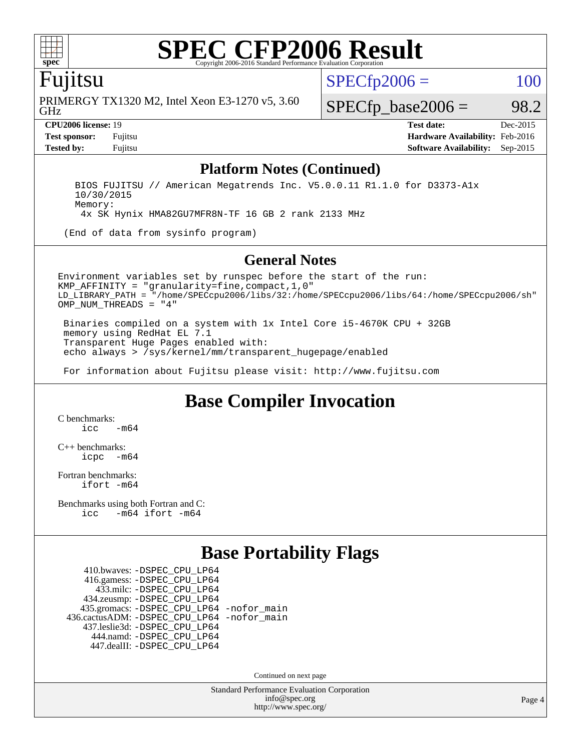

### Fujitsu

GHz PRIMERGY TX1320 M2, Intel Xeon E3-1270 v5, 3.60  $SPECTp2006 = 100$ 

 $SPECTp\_base2006 = 98.2$ 

**[CPU2006 license:](http://www.spec.org/auto/cpu2006/Docs/result-fields.html#CPU2006license)** 19 **[Test date:](http://www.spec.org/auto/cpu2006/Docs/result-fields.html#Testdate)** Dec-2015 **[Test sponsor:](http://www.spec.org/auto/cpu2006/Docs/result-fields.html#Testsponsor)** Fujitsu **[Hardware Availability:](http://www.spec.org/auto/cpu2006/Docs/result-fields.html#HardwareAvailability)** Feb-2016 **[Tested by:](http://www.spec.org/auto/cpu2006/Docs/result-fields.html#Testedby)** Fujitsu **[Software Availability:](http://www.spec.org/auto/cpu2006/Docs/result-fields.html#SoftwareAvailability)** Sep-2015

#### **[Platform Notes \(Continued\)](http://www.spec.org/auto/cpu2006/Docs/result-fields.html#PlatformNotes)**

 BIOS FUJITSU // American Megatrends Inc. V5.0.0.11 R1.1.0 for D3373-A1x 10/30/2015 Memory:

4x SK Hynix HMA82GU7MFR8N-TF 16 GB 2 rank 2133 MHz

(End of data from sysinfo program)

#### **[General Notes](http://www.spec.org/auto/cpu2006/Docs/result-fields.html#GeneralNotes)**

Environment variables set by runspec before the start of the run: KMP\_AFFINITY = "granularity=fine,compact,1,0" LD\_LIBRARY\_PATH = "/home/SPECcpu2006/libs/32:/home/SPECcpu2006/libs/64:/home/SPECcpu2006/sh" OMP NUM THREADS = "4"

 Binaries compiled on a system with 1x Intel Core i5-4670K CPU + 32GB memory using RedHat EL 7.1 Transparent Huge Pages enabled with: echo always > /sys/kernel/mm/transparent\_hugepage/enabled

For information about Fujitsu please visit: <http://www.fujitsu.com>

### **[Base Compiler Invocation](http://www.spec.org/auto/cpu2006/Docs/result-fields.html#BaseCompilerInvocation)**

[C benchmarks](http://www.spec.org/auto/cpu2006/Docs/result-fields.html#Cbenchmarks):  $\frac{1}{2}$ cc  $-\text{m64}$ 

[C++ benchmarks:](http://www.spec.org/auto/cpu2006/Docs/result-fields.html#CXXbenchmarks) [icpc -m64](http://www.spec.org/cpu2006/results/res2016q1/cpu2006-20160111-38684.flags.html#user_CXXbase_intel_icpc_64bit_bedb90c1146cab66620883ef4f41a67e)

[Fortran benchmarks](http://www.spec.org/auto/cpu2006/Docs/result-fields.html#Fortranbenchmarks): [ifort -m64](http://www.spec.org/cpu2006/results/res2016q1/cpu2006-20160111-38684.flags.html#user_FCbase_intel_ifort_64bit_ee9d0fb25645d0210d97eb0527dcc06e)

[Benchmarks using both Fortran and C](http://www.spec.org/auto/cpu2006/Docs/result-fields.html#BenchmarksusingbothFortranandC): [icc -m64](http://www.spec.org/cpu2006/results/res2016q1/cpu2006-20160111-38684.flags.html#user_CC_FCbase_intel_icc_64bit_0b7121f5ab7cfabee23d88897260401c) [ifort -m64](http://www.spec.org/cpu2006/results/res2016q1/cpu2006-20160111-38684.flags.html#user_CC_FCbase_intel_ifort_64bit_ee9d0fb25645d0210d97eb0527dcc06e)

### **[Base Portability Flags](http://www.spec.org/auto/cpu2006/Docs/result-fields.html#BasePortabilityFlags)**

 410.bwaves: [-DSPEC\\_CPU\\_LP64](http://www.spec.org/cpu2006/results/res2016q1/cpu2006-20160111-38684.flags.html#suite_basePORTABILITY410_bwaves_DSPEC_CPU_LP64) 416.gamess: [-DSPEC\\_CPU\\_LP64](http://www.spec.org/cpu2006/results/res2016q1/cpu2006-20160111-38684.flags.html#suite_basePORTABILITY416_gamess_DSPEC_CPU_LP64) 433.milc: [-DSPEC\\_CPU\\_LP64](http://www.spec.org/cpu2006/results/res2016q1/cpu2006-20160111-38684.flags.html#suite_basePORTABILITY433_milc_DSPEC_CPU_LP64) 434.zeusmp: [-DSPEC\\_CPU\\_LP64](http://www.spec.org/cpu2006/results/res2016q1/cpu2006-20160111-38684.flags.html#suite_basePORTABILITY434_zeusmp_DSPEC_CPU_LP64) 435.gromacs: [-DSPEC\\_CPU\\_LP64](http://www.spec.org/cpu2006/results/res2016q1/cpu2006-20160111-38684.flags.html#suite_basePORTABILITY435_gromacs_DSPEC_CPU_LP64) [-nofor\\_main](http://www.spec.org/cpu2006/results/res2016q1/cpu2006-20160111-38684.flags.html#user_baseLDPORTABILITY435_gromacs_f-nofor_main) 436.cactusADM: [-DSPEC\\_CPU\\_LP64](http://www.spec.org/cpu2006/results/res2016q1/cpu2006-20160111-38684.flags.html#suite_basePORTABILITY436_cactusADM_DSPEC_CPU_LP64) [-nofor\\_main](http://www.spec.org/cpu2006/results/res2016q1/cpu2006-20160111-38684.flags.html#user_baseLDPORTABILITY436_cactusADM_f-nofor_main) 437.leslie3d: [-DSPEC\\_CPU\\_LP64](http://www.spec.org/cpu2006/results/res2016q1/cpu2006-20160111-38684.flags.html#suite_basePORTABILITY437_leslie3d_DSPEC_CPU_LP64) 444.namd: [-DSPEC\\_CPU\\_LP64](http://www.spec.org/cpu2006/results/res2016q1/cpu2006-20160111-38684.flags.html#suite_basePORTABILITY444_namd_DSPEC_CPU_LP64) 447.dealII: [-DSPEC\\_CPU\\_LP64](http://www.spec.org/cpu2006/results/res2016q1/cpu2006-20160111-38684.flags.html#suite_basePORTABILITY447_dealII_DSPEC_CPU_LP64)

Continued on next page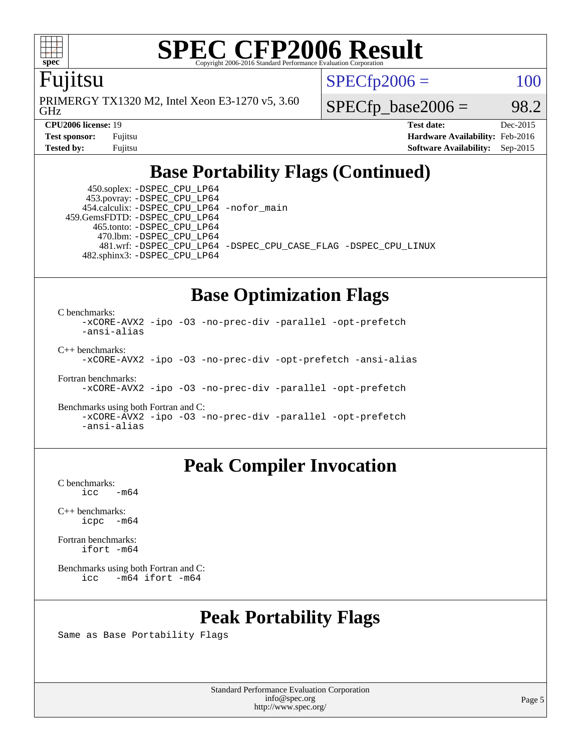

### Fujitsu

GHz PRIMERGY TX1320 M2, Intel Xeon E3-1270 v5, 3.60  $SPECTp2006 = 100$ 

 $SPECTp\_base2006 = 98.2$ 

**[CPU2006 license:](http://www.spec.org/auto/cpu2006/Docs/result-fields.html#CPU2006license)** 19 **[Test date:](http://www.spec.org/auto/cpu2006/Docs/result-fields.html#Testdate)** Dec-2015 **[Test sponsor:](http://www.spec.org/auto/cpu2006/Docs/result-fields.html#Testsponsor)** Fujitsu **[Hardware Availability:](http://www.spec.org/auto/cpu2006/Docs/result-fields.html#HardwareAvailability)** Feb-2016 **[Tested by:](http://www.spec.org/auto/cpu2006/Docs/result-fields.html#Testedby)** Fujitsu **[Software Availability:](http://www.spec.org/auto/cpu2006/Docs/result-fields.html#SoftwareAvailability)** Sep-2015

### **[Base Portability Flags \(Continued\)](http://www.spec.org/auto/cpu2006/Docs/result-fields.html#BasePortabilityFlags)**

 450.soplex: [-DSPEC\\_CPU\\_LP64](http://www.spec.org/cpu2006/results/res2016q1/cpu2006-20160111-38684.flags.html#suite_basePORTABILITY450_soplex_DSPEC_CPU_LP64) 453.povray: [-DSPEC\\_CPU\\_LP64](http://www.spec.org/cpu2006/results/res2016q1/cpu2006-20160111-38684.flags.html#suite_basePORTABILITY453_povray_DSPEC_CPU_LP64) 454.calculix: [-DSPEC\\_CPU\\_LP64](http://www.spec.org/cpu2006/results/res2016q1/cpu2006-20160111-38684.flags.html#suite_basePORTABILITY454_calculix_DSPEC_CPU_LP64) [-nofor\\_main](http://www.spec.org/cpu2006/results/res2016q1/cpu2006-20160111-38684.flags.html#user_baseLDPORTABILITY454_calculix_f-nofor_main) 459.GemsFDTD: [-DSPEC\\_CPU\\_LP64](http://www.spec.org/cpu2006/results/res2016q1/cpu2006-20160111-38684.flags.html#suite_basePORTABILITY459_GemsFDTD_DSPEC_CPU_LP64) 465.tonto: [-DSPEC\\_CPU\\_LP64](http://www.spec.org/cpu2006/results/res2016q1/cpu2006-20160111-38684.flags.html#suite_basePORTABILITY465_tonto_DSPEC_CPU_LP64) 470.lbm: [-DSPEC\\_CPU\\_LP64](http://www.spec.org/cpu2006/results/res2016q1/cpu2006-20160111-38684.flags.html#suite_basePORTABILITY470_lbm_DSPEC_CPU_LP64) 482.sphinx3: [-DSPEC\\_CPU\\_LP64](http://www.spec.org/cpu2006/results/res2016q1/cpu2006-20160111-38684.flags.html#suite_basePORTABILITY482_sphinx3_DSPEC_CPU_LP64)

481.wrf: [-DSPEC\\_CPU\\_LP64](http://www.spec.org/cpu2006/results/res2016q1/cpu2006-20160111-38684.flags.html#suite_basePORTABILITY481_wrf_DSPEC_CPU_LP64) [-DSPEC\\_CPU\\_CASE\\_FLAG](http://www.spec.org/cpu2006/results/res2016q1/cpu2006-20160111-38684.flags.html#b481.wrf_baseCPORTABILITY_DSPEC_CPU_CASE_FLAG) [-DSPEC\\_CPU\\_LINUX](http://www.spec.org/cpu2006/results/res2016q1/cpu2006-20160111-38684.flags.html#b481.wrf_baseCPORTABILITY_DSPEC_CPU_LINUX)

### **[Base Optimization Flags](http://www.spec.org/auto/cpu2006/Docs/result-fields.html#BaseOptimizationFlags)**

[C benchmarks](http://www.spec.org/auto/cpu2006/Docs/result-fields.html#Cbenchmarks):

[-xCORE-AVX2](http://www.spec.org/cpu2006/results/res2016q1/cpu2006-20160111-38684.flags.html#user_CCbase_f-xAVX2_5f5fc0cbe2c9f62c816d3e45806c70d7) [-ipo](http://www.spec.org/cpu2006/results/res2016q1/cpu2006-20160111-38684.flags.html#user_CCbase_f-ipo) [-O3](http://www.spec.org/cpu2006/results/res2016q1/cpu2006-20160111-38684.flags.html#user_CCbase_f-O3) [-no-prec-div](http://www.spec.org/cpu2006/results/res2016q1/cpu2006-20160111-38684.flags.html#user_CCbase_f-no-prec-div) [-parallel](http://www.spec.org/cpu2006/results/res2016q1/cpu2006-20160111-38684.flags.html#user_CCbase_f-parallel) [-opt-prefetch](http://www.spec.org/cpu2006/results/res2016q1/cpu2006-20160111-38684.flags.html#user_CCbase_f-opt-prefetch) [-ansi-alias](http://www.spec.org/cpu2006/results/res2016q1/cpu2006-20160111-38684.flags.html#user_CCbase_f-ansi-alias) [C++ benchmarks:](http://www.spec.org/auto/cpu2006/Docs/result-fields.html#CXXbenchmarks)

[-xCORE-AVX2](http://www.spec.org/cpu2006/results/res2016q1/cpu2006-20160111-38684.flags.html#user_CXXbase_f-xAVX2_5f5fc0cbe2c9f62c816d3e45806c70d7) [-ipo](http://www.spec.org/cpu2006/results/res2016q1/cpu2006-20160111-38684.flags.html#user_CXXbase_f-ipo) [-O3](http://www.spec.org/cpu2006/results/res2016q1/cpu2006-20160111-38684.flags.html#user_CXXbase_f-O3) [-no-prec-div](http://www.spec.org/cpu2006/results/res2016q1/cpu2006-20160111-38684.flags.html#user_CXXbase_f-no-prec-div) [-opt-prefetch](http://www.spec.org/cpu2006/results/res2016q1/cpu2006-20160111-38684.flags.html#user_CXXbase_f-opt-prefetch) [-ansi-alias](http://www.spec.org/cpu2006/results/res2016q1/cpu2006-20160111-38684.flags.html#user_CXXbase_f-ansi-alias)

[Fortran benchmarks](http://www.spec.org/auto/cpu2006/Docs/result-fields.html#Fortranbenchmarks): [-xCORE-AVX2](http://www.spec.org/cpu2006/results/res2016q1/cpu2006-20160111-38684.flags.html#user_FCbase_f-xAVX2_5f5fc0cbe2c9f62c816d3e45806c70d7) [-ipo](http://www.spec.org/cpu2006/results/res2016q1/cpu2006-20160111-38684.flags.html#user_FCbase_f-ipo) [-O3](http://www.spec.org/cpu2006/results/res2016q1/cpu2006-20160111-38684.flags.html#user_FCbase_f-O3) [-no-prec-div](http://www.spec.org/cpu2006/results/res2016q1/cpu2006-20160111-38684.flags.html#user_FCbase_f-no-prec-div) [-parallel](http://www.spec.org/cpu2006/results/res2016q1/cpu2006-20160111-38684.flags.html#user_FCbase_f-parallel) [-opt-prefetch](http://www.spec.org/cpu2006/results/res2016q1/cpu2006-20160111-38684.flags.html#user_FCbase_f-opt-prefetch)

[Benchmarks using both Fortran and C](http://www.spec.org/auto/cpu2006/Docs/result-fields.html#BenchmarksusingbothFortranandC): [-xCORE-AVX2](http://www.spec.org/cpu2006/results/res2016q1/cpu2006-20160111-38684.flags.html#user_CC_FCbase_f-xAVX2_5f5fc0cbe2c9f62c816d3e45806c70d7) [-ipo](http://www.spec.org/cpu2006/results/res2016q1/cpu2006-20160111-38684.flags.html#user_CC_FCbase_f-ipo) [-O3](http://www.spec.org/cpu2006/results/res2016q1/cpu2006-20160111-38684.flags.html#user_CC_FCbase_f-O3) [-no-prec-div](http://www.spec.org/cpu2006/results/res2016q1/cpu2006-20160111-38684.flags.html#user_CC_FCbase_f-no-prec-div) [-parallel](http://www.spec.org/cpu2006/results/res2016q1/cpu2006-20160111-38684.flags.html#user_CC_FCbase_f-parallel) [-opt-prefetch](http://www.spec.org/cpu2006/results/res2016q1/cpu2006-20160111-38684.flags.html#user_CC_FCbase_f-opt-prefetch) [-ansi-alias](http://www.spec.org/cpu2006/results/res2016q1/cpu2006-20160111-38684.flags.html#user_CC_FCbase_f-ansi-alias)

### **[Peak Compiler Invocation](http://www.spec.org/auto/cpu2006/Docs/result-fields.html#PeakCompilerInvocation)**

[C benchmarks](http://www.spec.org/auto/cpu2006/Docs/result-fields.html#Cbenchmarks):  $\text{icc}$   $-\text{m64}$ 

[C++ benchmarks:](http://www.spec.org/auto/cpu2006/Docs/result-fields.html#CXXbenchmarks) [icpc -m64](http://www.spec.org/cpu2006/results/res2016q1/cpu2006-20160111-38684.flags.html#user_CXXpeak_intel_icpc_64bit_bedb90c1146cab66620883ef4f41a67e)

[Fortran benchmarks](http://www.spec.org/auto/cpu2006/Docs/result-fields.html#Fortranbenchmarks): [ifort -m64](http://www.spec.org/cpu2006/results/res2016q1/cpu2006-20160111-38684.flags.html#user_FCpeak_intel_ifort_64bit_ee9d0fb25645d0210d97eb0527dcc06e)

[Benchmarks using both Fortran and C](http://www.spec.org/auto/cpu2006/Docs/result-fields.html#BenchmarksusingbothFortranandC): [icc -m64](http://www.spec.org/cpu2006/results/res2016q1/cpu2006-20160111-38684.flags.html#user_CC_FCpeak_intel_icc_64bit_0b7121f5ab7cfabee23d88897260401c) [ifort -m64](http://www.spec.org/cpu2006/results/res2016q1/cpu2006-20160111-38684.flags.html#user_CC_FCpeak_intel_ifort_64bit_ee9d0fb25645d0210d97eb0527dcc06e)

### **[Peak Portability Flags](http://www.spec.org/auto/cpu2006/Docs/result-fields.html#PeakPortabilityFlags)**

Same as Base Portability Flags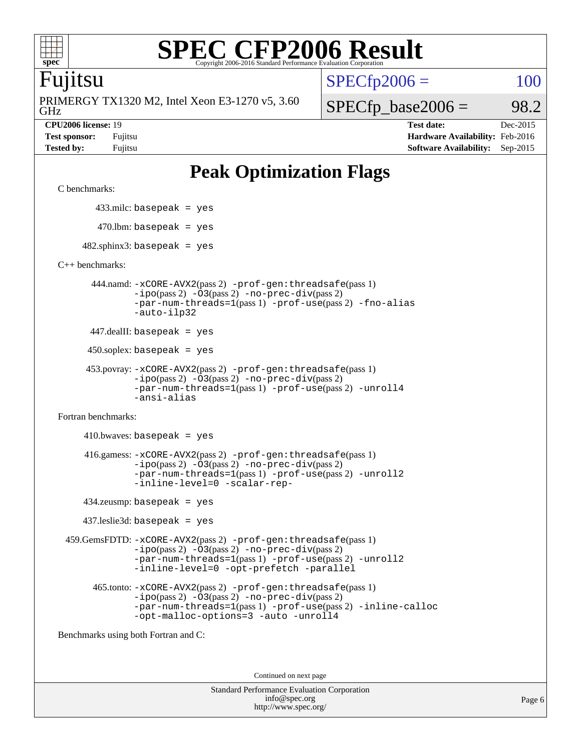

### Fujitsu

GHz PRIMERGY TX1320 M2, Intel Xeon E3-1270 v5, 3.60  $SPECTp2006 = 100$ 

 $SPECfp\_base2006 = 98.2$ 

**[CPU2006 license:](http://www.spec.org/auto/cpu2006/Docs/result-fields.html#CPU2006license)** 19 **[Test date:](http://www.spec.org/auto/cpu2006/Docs/result-fields.html#Testdate)** Dec-2015 **[Test sponsor:](http://www.spec.org/auto/cpu2006/Docs/result-fields.html#Testsponsor)** Fujitsu **[Hardware Availability:](http://www.spec.org/auto/cpu2006/Docs/result-fields.html#HardwareAvailability)** Feb-2016 **[Tested by:](http://www.spec.org/auto/cpu2006/Docs/result-fields.html#Testedby)** Fujitsu **[Software Availability:](http://www.spec.org/auto/cpu2006/Docs/result-fields.html#SoftwareAvailability)** Sep-2015

## **[Peak Optimization Flags](http://www.spec.org/auto/cpu2006/Docs/result-fields.html#PeakOptimizationFlags)**

[C benchmarks](http://www.spec.org/auto/cpu2006/Docs/result-fields.html#Cbenchmarks):

433.milc: basepeak = yes

 $470.$ lbm: basepeak = yes

 $482$ .sphinx3: basepeak = yes

[C++ benchmarks:](http://www.spec.org/auto/cpu2006/Docs/result-fields.html#CXXbenchmarks)

 444.namd: [-xCORE-AVX2](http://www.spec.org/cpu2006/results/res2016q1/cpu2006-20160111-38684.flags.html#user_peakPASS2_CXXFLAGSPASS2_LDFLAGS444_namd_f-xAVX2_5f5fc0cbe2c9f62c816d3e45806c70d7)(pass 2) [-prof-gen:threadsafe](http://www.spec.org/cpu2006/results/res2016q1/cpu2006-20160111-38684.flags.html#user_peakPASS1_CXXFLAGSPASS1_LDFLAGS444_namd_prof_gen_21a26eb79f378b550acd7bec9fe4467a)(pass 1) [-ipo](http://www.spec.org/cpu2006/results/res2016q1/cpu2006-20160111-38684.flags.html#user_peakPASS2_CXXFLAGSPASS2_LDFLAGS444_namd_f-ipo)(pass 2) [-O3](http://www.spec.org/cpu2006/results/res2016q1/cpu2006-20160111-38684.flags.html#user_peakPASS2_CXXFLAGSPASS2_LDFLAGS444_namd_f-O3)(pass 2) [-no-prec-div](http://www.spec.org/cpu2006/results/res2016q1/cpu2006-20160111-38684.flags.html#user_peakPASS2_CXXFLAGSPASS2_LDFLAGS444_namd_f-no-prec-div)(pass 2) [-par-num-threads=1](http://www.spec.org/cpu2006/results/res2016q1/cpu2006-20160111-38684.flags.html#user_peakPASS1_CXXFLAGSPASS1_LDFLAGS444_namd_par_num_threads_786a6ff141b4e9e90432e998842df6c2)(pass 1) [-prof-use](http://www.spec.org/cpu2006/results/res2016q1/cpu2006-20160111-38684.flags.html#user_peakPASS2_CXXFLAGSPASS2_LDFLAGS444_namd_prof_use_bccf7792157ff70d64e32fe3e1250b55)(pass 2) [-fno-alias](http://www.spec.org/cpu2006/results/res2016q1/cpu2006-20160111-38684.flags.html#user_peakCXXOPTIMIZEOPTIMIZE444_namd_f-no-alias_694e77f6c5a51e658e82ccff53a9e63a) [-auto-ilp32](http://www.spec.org/cpu2006/results/res2016q1/cpu2006-20160111-38684.flags.html#user_peakCXXOPTIMIZE444_namd_f-auto-ilp32)

447.dealII: basepeak = yes

450.soplex: basepeak = yes

```
 453.povray: -xCORE-AVX2(pass 2) -prof-gen:threadsafe(pass 1)
-ipo(pass 2) -O3(pass 2) -no-prec-div(pass 2)
-par-num-threads=1(pass 1) -prof-use(pass 2) -unroll4
-ansi-alias
```
[Fortran benchmarks](http://www.spec.org/auto/cpu2006/Docs/result-fields.html#Fortranbenchmarks):

 $410.bwaves: basepeak = yes$  416.gamess: [-xCORE-AVX2](http://www.spec.org/cpu2006/results/res2016q1/cpu2006-20160111-38684.flags.html#user_peakPASS2_FFLAGSPASS2_LDFLAGS416_gamess_f-xAVX2_5f5fc0cbe2c9f62c816d3e45806c70d7)(pass 2) [-prof-gen:threadsafe](http://www.spec.org/cpu2006/results/res2016q1/cpu2006-20160111-38684.flags.html#user_peakPASS1_FFLAGSPASS1_LDFLAGS416_gamess_prof_gen_21a26eb79f378b550acd7bec9fe4467a)(pass 1)  $-i\text{po}(pass 2) -\text{O3}(pass 2)$  [-no-prec-div](http://www.spec.org/cpu2006/results/res2016q1/cpu2006-20160111-38684.flags.html#user_peakPASS2_FFLAGSPASS2_LDFLAGS416_gamess_f-no-prec-div)(pass 2) [-par-num-threads=1](http://www.spec.org/cpu2006/results/res2016q1/cpu2006-20160111-38684.flags.html#user_peakPASS1_FFLAGSPASS1_LDFLAGS416_gamess_par_num_threads_786a6ff141b4e9e90432e998842df6c2)(pass 1) [-prof-use](http://www.spec.org/cpu2006/results/res2016q1/cpu2006-20160111-38684.flags.html#user_peakPASS2_FFLAGSPASS2_LDFLAGS416_gamess_prof_use_bccf7792157ff70d64e32fe3e1250b55)(pass 2) [-unroll2](http://www.spec.org/cpu2006/results/res2016q1/cpu2006-20160111-38684.flags.html#user_peakOPTIMIZE416_gamess_f-unroll_784dae83bebfb236979b41d2422d7ec2) [-inline-level=0](http://www.spec.org/cpu2006/results/res2016q1/cpu2006-20160111-38684.flags.html#user_peakOPTIMIZE416_gamess_f-inline-level_318d07a09274ad25e8d15dbfaa68ba50) [-scalar-rep-](http://www.spec.org/cpu2006/results/res2016q1/cpu2006-20160111-38684.flags.html#user_peakOPTIMIZE416_gamess_f-disablescalarrep_abbcad04450fb118e4809c81d83c8a1d)

434.zeusmp: basepeak = yes

437.leslie3d: basepeak = yes

 459.GemsFDTD: [-xCORE-AVX2](http://www.spec.org/cpu2006/results/res2016q1/cpu2006-20160111-38684.flags.html#user_peakPASS2_FFLAGSPASS2_LDFLAGS459_GemsFDTD_f-xAVX2_5f5fc0cbe2c9f62c816d3e45806c70d7)(pass 2) [-prof-gen:threadsafe](http://www.spec.org/cpu2006/results/res2016q1/cpu2006-20160111-38684.flags.html#user_peakPASS1_FFLAGSPASS1_LDFLAGS459_GemsFDTD_prof_gen_21a26eb79f378b550acd7bec9fe4467a)(pass 1)  $-i\text{po}(pass 2) -03(pass 2) -no-prec-div(pass 2)$  $-i\text{po}(pass 2) -03(pass 2) -no-prec-div(pass 2)$  $-i\text{po}(pass 2) -03(pass 2) -no-prec-div(pass 2)$ [-par-num-threads=1](http://www.spec.org/cpu2006/results/res2016q1/cpu2006-20160111-38684.flags.html#user_peakPASS1_FFLAGSPASS1_LDFLAGS459_GemsFDTD_par_num_threads_786a6ff141b4e9e90432e998842df6c2)(pass 1) [-prof-use](http://www.spec.org/cpu2006/results/res2016q1/cpu2006-20160111-38684.flags.html#user_peakPASS2_FFLAGSPASS2_LDFLAGS459_GemsFDTD_prof_use_bccf7792157ff70d64e32fe3e1250b55)(pass 2) [-unroll2](http://www.spec.org/cpu2006/results/res2016q1/cpu2006-20160111-38684.flags.html#user_peakOPTIMIZE459_GemsFDTD_f-unroll_784dae83bebfb236979b41d2422d7ec2) [-inline-level=0](http://www.spec.org/cpu2006/results/res2016q1/cpu2006-20160111-38684.flags.html#user_peakOPTIMIZE459_GemsFDTD_f-inline-level_318d07a09274ad25e8d15dbfaa68ba50) [-opt-prefetch](http://www.spec.org/cpu2006/results/res2016q1/cpu2006-20160111-38684.flags.html#user_peakOPTIMIZE459_GemsFDTD_f-opt-prefetch) [-parallel](http://www.spec.org/cpu2006/results/res2016q1/cpu2006-20160111-38684.flags.html#user_peakOPTIMIZE459_GemsFDTD_f-parallel)

 465.tonto: [-xCORE-AVX2](http://www.spec.org/cpu2006/results/res2016q1/cpu2006-20160111-38684.flags.html#user_peakPASS2_FFLAGSPASS2_LDFLAGS465_tonto_f-xAVX2_5f5fc0cbe2c9f62c816d3e45806c70d7)(pass 2) [-prof-gen:threadsafe](http://www.spec.org/cpu2006/results/res2016q1/cpu2006-20160111-38684.flags.html#user_peakPASS1_FFLAGSPASS1_LDFLAGS465_tonto_prof_gen_21a26eb79f378b550acd7bec9fe4467a)(pass 1)  $-i\text{po}(pass 2)$   $-03(pass 2)$   $-no-prec-div(pass 2)$  $-no-prec-div(pass 2)$ [-par-num-threads=1](http://www.spec.org/cpu2006/results/res2016q1/cpu2006-20160111-38684.flags.html#user_peakPASS1_FFLAGSPASS1_LDFLAGS465_tonto_par_num_threads_786a6ff141b4e9e90432e998842df6c2)(pass 1) [-prof-use](http://www.spec.org/cpu2006/results/res2016q1/cpu2006-20160111-38684.flags.html#user_peakPASS2_FFLAGSPASS2_LDFLAGS465_tonto_prof_use_bccf7792157ff70d64e32fe3e1250b55)(pass 2) [-inline-calloc](http://www.spec.org/cpu2006/results/res2016q1/cpu2006-20160111-38684.flags.html#user_peakOPTIMIZE465_tonto_f-inline-calloc) [-opt-malloc-options=3](http://www.spec.org/cpu2006/results/res2016q1/cpu2006-20160111-38684.flags.html#user_peakOPTIMIZE465_tonto_f-opt-malloc-options_13ab9b803cf986b4ee62f0a5998c2238) [-auto](http://www.spec.org/cpu2006/results/res2016q1/cpu2006-20160111-38684.flags.html#user_peakOPTIMIZE465_tonto_f-auto) [-unroll4](http://www.spec.org/cpu2006/results/res2016q1/cpu2006-20160111-38684.flags.html#user_peakOPTIMIZE465_tonto_f-unroll_4e5e4ed65b7fd20bdcd365bec371b81f)

[Benchmarks using both Fortran and C](http://www.spec.org/auto/cpu2006/Docs/result-fields.html#BenchmarksusingbothFortranandC):

Continued on next page